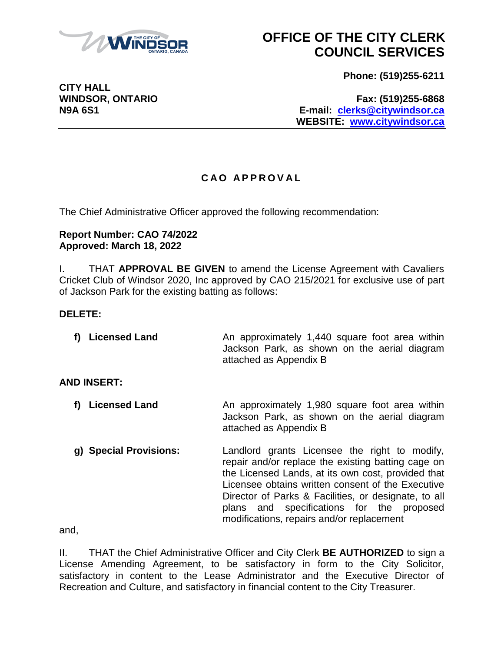

# **OFFICE OF THE CITY CLERK COUNCIL SERVICES**

**Phone: (519)255-6211**

**WINDSOR, ONTARIO Fax: (519)255-6868 N9A 6S1 E-mail: [clerks@citywindsor.ca](mailto:clerks@citywindsor.ca) WEBSITE: [www.citywindsor.ca](http://www.citywindsor.ca/)**

### **C A O A P P R O V A L**

The Chief Administrative Officer approved the following recommendation:

#### **Report Number: CAO 74/2022 Approved: March 18, 2022**

I. THAT **APPROVAL BE GIVEN** to amend the License Agreement with Cavaliers Cricket Club of Windsor 2020, Inc approved by CAO 215/2021 for exclusive use of part of Jackson Park for the existing batting as follows:

### **DELETE:**

| f) Licensed Land | An approximately 1,440 square foot area within |  |  |  |  |  |  |                                              |
|------------------|------------------------------------------------|--|--|--|--|--|--|----------------------------------------------|
|                  |                                                |  |  |  |  |  |  | Jackson Park, as shown on the aerial diagram |
|                  | attached as Appendix B                         |  |  |  |  |  |  |                                              |

### **AND INSERT:**

- **f) Licensed Land** An approximately 1,980 square foot area within Jackson Park, as shown on the aerial diagram attached as Appendix B
- **g) Special Provisions:** Landlord grants Licensee the right to modify, repair and/or replace the existing batting cage on the Licensed Lands, at its own cost, provided that Licensee obtains written consent of the Executive Director of Parks & Facilities, or designate, to all plans and specifications for the proposed modifications, repairs and/or replacement

and,

II. THAT the Chief Administrative Officer and City Clerk **BE AUTHORIZED** to sign a License Amending Agreement, to be satisfactory in form to the City Solicitor, satisfactory in content to the Lease Administrator and the Executive Director of Recreation and Culture, and satisfactory in financial content to the City Treasurer.

**CITY HALL**